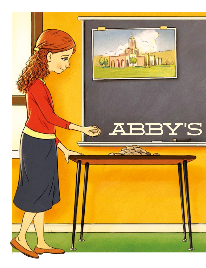